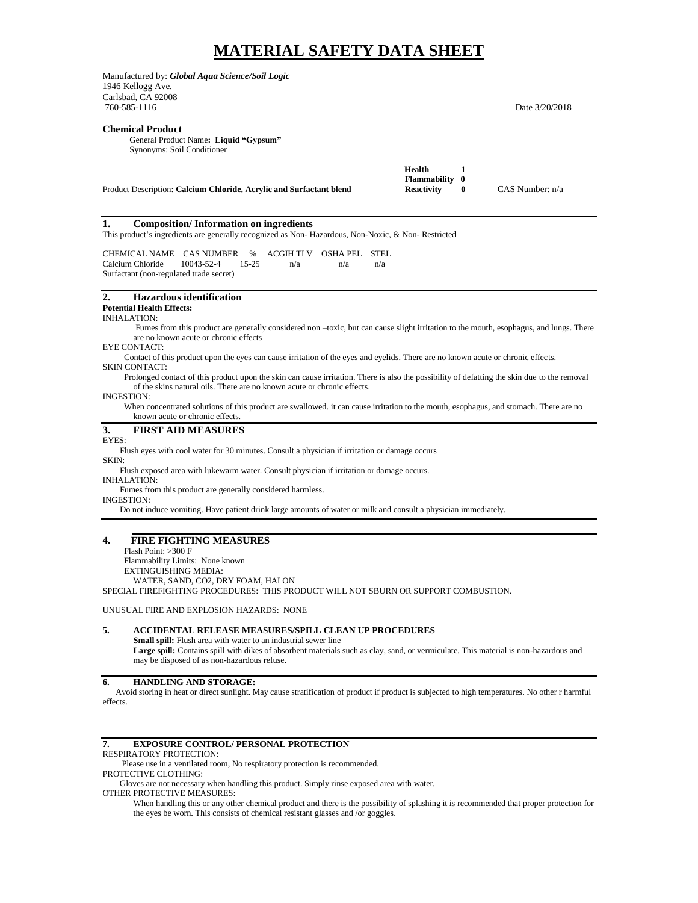# **MATERIAL SAFETY DATA SHEET**

Manufactured by: *Global Aqua Science/Soil Logic* 1946 Kellogg Ave. Carlsbad, CA 92008<br>760-585-1116 Date 3/20/2018 **Chemical Product** General Product Name**: Liquid "Gypsum"** Synonyms: Soil Conditioner  **Health 1 Flammability 0** Product Description: Calcium Chloride, Acrylic and Surfactant blend **Reactivity** 0 CAS Number: n/a **1. Composition/ Information on ingredients** This product's ingredients are generally recognized as Non- Hazardous, Non-Noxic, & Non- Restricted CHEMICAL NAME CAS NUMBER % ACGIH TLV OSHA PEL STEL Calcium Chloride 10043-52-4 15-25 n/a n/a n/a Surfactant (non-regulated trade secret) **2. Hazardous identification Potential Health Effects:** INHALATION: Fumes from this product are generally considered non –toxic, but can cause slight irritation to the mouth, esophagus, and lungs. There are no known acute or chronic effects EYE CONTACT: Contact of this product upon the eyes can cause irritation of the eyes and eyelids. There are no known acute or chronic effects. SKIN CONTACT: Prolonged contact of this product upon the skin can cause irritation. There is also the possibility of defatting the skin due to the removal of the skins natural oils. There are no known acute or chronic effects. INGESTION: When concentrated solutions of this product are swallowed. it can cause irritation to the mouth, esophagus, and stomach. There are no known acute or chronic effects. **3. FIRST AID MEASURES** EYES: Flush eyes with cool water for 30 minutes. Consult a physician if irritation or damage occurs SKIN: Flush exposed area with lukewarm water. Consult physician if irritation or damage occurs. INHALATION: Fumes from this product are generally considered harmless. INGESTION: Do not induce vomiting. Have patient drink large amounts of water or milk and consult a physician immediately. **4. FIRE FIGHTING MEASURES** Flash Point: >300 F Flammability Limits: None known EXTINGUISHING MEDIA: WATER, SAND, CO2, DRY FOAM, HALON SPECIAL FIREFIGHTING PROCEDURES: THIS PRODUCT WILL NOT SBURN OR SUPPORT COMBUSTION.

UNUSUAL FIRE AND EXPLOSION HAZARDS: NONE

#### \_\_\_\_\_\_\_\_\_\_\_\_\_\_\_\_\_\_\_\_\_\_\_\_\_\_\_\_\_\_\_\_\_\_\_\_\_\_\_\_\_\_\_\_\_\_\_\_\_\_\_\_\_\_\_\_\_\_\_\_\_\_\_\_\_\_\_\_\_\_\_\_\_\_\_\_\_\_ **5. ACCIDENTAL RELEASE MEASURES/SPILL CLEAN UP PROCEDURES**

**Small spill:** Flush area with water to an industrial sewer line Large spill: Contains spill with dikes of absorbent materials such as clay, sand, or vermiculate. This material is non-hazardous and may be disposed of as non-hazardous refuse.

# **6. HANDLING AND STORAGE:**

 Avoid storing in heat or direct sunlight. May cause stratification of product if product is subjected to high temperatures. No other r harmful effects.

#### **7. EXPOSURE CONTROL/ PERSONAL PROTECTION**

RESPIRATORY PROTECTION:

Please use in a ventilated room, No respiratory protection is recommended.

PROTECTIVE CLOTHING:

Gloves are not necessary when handling this product. Simply rinse exposed area with water.

OTHER PROTECTIVE MEASURES:

When handling this or any other chemical product and there is the possibility of splashing it is recommended that proper protection for the eyes be worn. This consists of chemical resistant glasses and /or goggles.